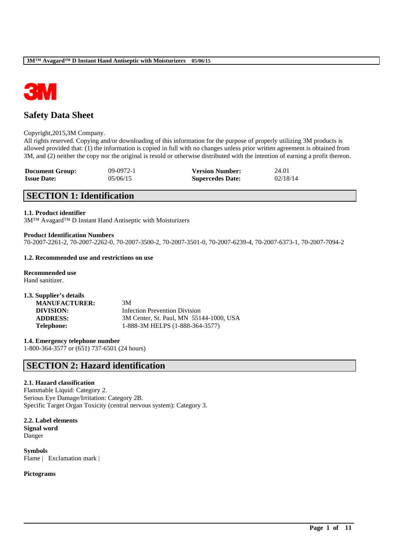

# **Safety Data Sheet**

#### Copyright,2015,3M Company.

All rights reserved. Copying and/or downloading of this information for the purpose of properly utilizing 3M products is allowed provided that: (1) the information is copied in full with no changes unless prior written agreement is obtained from 3M, and (2) neither the copy nor the original is resold or otherwise distributed with the intention of earning a profit thereon.

| <b>Document Group:</b> | $09-0972-1$ | <b>Version Number:</b>  | 24.01    |
|------------------------|-------------|-------------------------|----------|
| <b>Issue Date:</b>     | 05/06/15    | <b>Supercedes Date:</b> | 02/18/14 |

# **SECTION 1: Identification**

### **1.1. Product identifier**

3M™ Avagard™ D Instant Hand Antiseptic with Moisturizers

### **Product Identification Numbers**

70-2007-2261-2, 70-2007-2262-0, 70-2007-3500-2, 70-2007-3501-0, 70-2007-6239-4, 70-2007-6373-1, 70-2007-7094-2

\_\_\_\_\_\_\_\_\_\_\_\_\_\_\_\_\_\_\_\_\_\_\_\_\_\_\_\_\_\_\_\_\_\_\_\_\_\_\_\_\_\_\_\_\_\_\_\_\_\_\_\_\_\_\_\_\_\_\_\_\_\_\_\_\_\_\_\_\_\_\_\_\_\_\_\_\_\_\_\_\_\_\_\_\_\_\_\_\_\_

### **1.2. Recommended use and restrictions on use**

**Recommended use** Hand sanitizer.

| 1.3. Supplier's details |                                         |
|-------------------------|-----------------------------------------|
| <b>MANUFACTURER:</b>    | 3M                                      |
| DIVISION:               | Infection Prevention Division           |
| <b>ADDRESS:</b>         | 3M Center, St. Paul, MN 55144-1000, USA |
| <b>Telephone:</b>       | 1-888-3M HELPS (1-888-364-3577)         |

**1.4. Emergency telephone number** 1-800-364-3577 or (651) 737-6501 (24 hours)

# **SECTION 2: Hazard identification**

# **2.1. Hazard classification**

Flammable Liquid: Category 2. Serious Eye Damage/Irritation: Category 2B. Specific Target Organ Toxicity (central nervous system): Category 3.

**2.2. Label elements Signal word** Danger

**Symbols** Flame | Exclamation mark |

**Pictograms**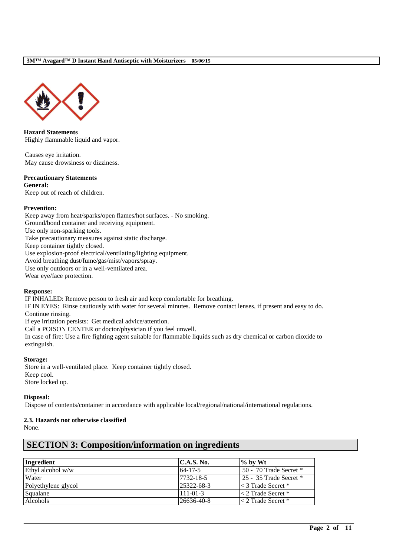

**Hazard Statements** Highly flammable liquid and vapor.

Causes eye irritation. May cause drowsiness or dizziness.

# **Precautionary Statements**

**General:** Keep out of reach of children.

### **Prevention:**

Keep away from heat/sparks/open flames/hot surfaces. - No smoking. Ground/bond container and receiving equipment. Use only non-sparking tools. Take precautionary measures against static discharge. Keep container tightly closed. Use explosion-proof electrical/ventilating/lighting equipment. Avoid breathing dust/fume/gas/mist/vapors/spray. Use only outdoors or in a well-ventilated area. Wear eye/face protection.

#### **Response:**

IF INHALED: Remove person to fresh air and keep comfortable for breathing.

IF IN EYES: Rinse cautiously with water for several minutes. Remove contact lenses, if present and easy to do. Continue rinsing.

If eye irritation persists: Get medical advice/attention.

Call a POISON CENTER or doctor/physician if you feel unwell.

In case of fire: Use a fire fighting agent suitable for flammable liquids such as dry chemical or carbon dioxide to extinguish.

# **Storage:**

Store in a well-ventilated place. Keep container tightly closed. Keep cool. Store locked up.

# **Disposal:**

Dispose of contents/container in accordance with applicable local/regional/national/international regulations.

# **2.3. Hazards not otherwise classified**

None.

| Ingredient          | C.A.S. No.     | $\%$ by Wt                |
|---------------------|----------------|---------------------------|
| Ethyl alcohol w/w   | $64 - 17 - 5$  | 50 - 70 Trade Secret $*$  |
| Water               | 7732-18-5      | 25 - 35 Trade Secret $*$  |
| Polyethylene glycol | 25322-68-3     | $\leq$ 3 Trade Secret $*$ |
| Squalane            | $111 - 01 - 3$ | $\leq$ 2 Trade Secret *   |
| <b>Alcohols</b>     | 26636-40-8     | $<$ 2 Trade Secret $*$    |

\_\_\_\_\_\_\_\_\_\_\_\_\_\_\_\_\_\_\_\_\_\_\_\_\_\_\_\_\_\_\_\_\_\_\_\_\_\_\_\_\_\_\_\_\_\_\_\_\_\_\_\_\_\_\_\_\_\_\_\_\_\_\_\_\_\_\_\_\_\_\_\_\_\_\_\_\_\_\_\_\_\_\_\_\_\_\_\_\_\_

# **SECTION 3: Composition/information on ingredients**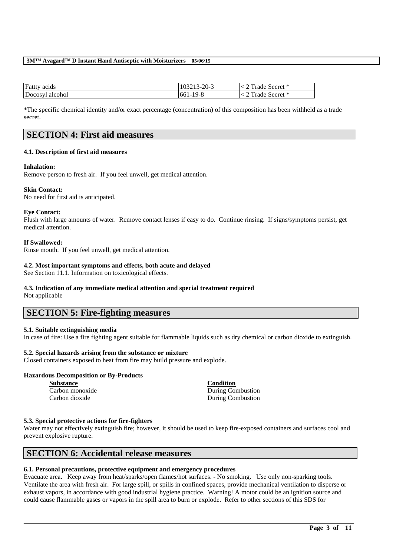| <b>Fatty</b> acids | 103213-20-3 | Trade Secret * |
|--------------------|-------------|----------------|
| Docosyl alcohol    | 661-19-8    | Trade Secret * |

\*The specific chemical identity and/or exact percentage (concentration) of this composition has been withheld as a trade secret.

# **SECTION 4: First aid measures**

# **4.1. Description of first aid measures**

# **Inhalation:**

Remove person to fresh air. If you feel unwell, get medical attention.

# **Skin Contact:**

No need for first aid is anticipated.

# **Eye Contact:**

Flush with large amounts of water. Remove contact lenses if easy to do. Continue rinsing. If signs/symptoms persist, get medical attention.

### **If Swallowed:**

Rinse mouth. If you feel unwell, get medical attention.

### **4.2. Most important symptoms and effects, both acute and delayed**

See Section 11.1. Information on toxicological effects.

# **4.3. Indication of any immediate medical attention and special treatment required**

Not applicable

# **SECTION 5: Fire-fighting measures**

# **5.1. Suitable extinguishing media**

In case of fire: Use a fire fighting agent suitable for flammable liquids such as dry chemical or carbon dioxide to extinguish.

# **5.2. Special hazards arising from the substance or mixture**

Closed containers exposed to heat from fire may build pressure and explode.

# **Hazardous Decomposition or By-Products**

| <b>Substance</b> | <b>Condition</b>  |
|------------------|-------------------|
| Carbon monoxide  | During Combustion |
| Carbon dioxide   | During Combustion |

# **5.3. Special protective actions for fire-fighters**

Water may not effectively extinguish fire; however, it should be used to keep fire-exposed containers and surfaces cool and prevent explosive rupture.

# **SECTION 6: Accidental release measures**

# **6.1. Personal precautions, protective equipment and emergency procedures**

Evacuate area. Keep away from heat/sparks/open flames/hot surfaces. - No smoking. Use only non-sparking tools. Ventilate the area with fresh air. For large spill, or spills in confined spaces, provide mechanical ventilation to disperse or exhaust vapors, in accordance with good industrial hygiene practice. Warning! A motor could be an ignition source and could cause flammable gases or vapors in the spill area to burn or explode. Refer to other sections of this SDS for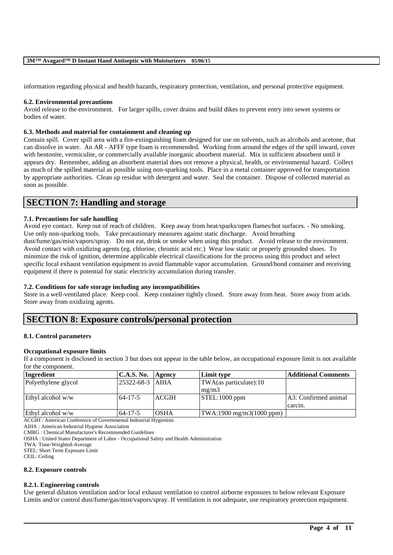information regarding physical and health hazards, respiratory protection, ventilation, and personal protective equipment.

#### **6.2. Environmental precautions**

Avoid release to the environment. For larger spills, cover drains and build dikes to prevent entry into sewer systems or bodies of water.

#### **6.3. Methods and material for containment and cleaning up**

Contain spill. Cover spill area with a fire-extinguishing foam designed for use on solvents, such as alcohols and acetone, that can dissolve in water. An AR - AFFF type foam is recommended. Working from around the edges of the spill inward, cover with bentonite, vermiculite, or commercially available inorganic absorbent material. Mix in sufficient absorbent until it appears dry. Remember, adding an absorbent material does not remove a physical, health, or environmental hazard. Collect as much of the spilled material as possible using non-sparking tools. Place in a metal container approved for transportation by appropriate authorities. Clean up residue with detergent and water. Seal the container. Dispose of collected material as soon as possible.

# **SECTION 7: Handling and storage**

# **7.1. Precautions for safe handling**

Avoid eye contact. Keep out of reach of children. Keep away from heat/sparks/open flames/hot surfaces. - No smoking. Use only non-sparking tools. Take precautionary measures against static discharge. Avoid breathing dust/fume/gas/mist/vapors/spray. Do not eat, drink or smoke when using this product. Avoid release to the environment. Avoid contact with oxidizing agents (eg. chlorine, chromic acid etc.) Wear low static or properly grounded shoes. To minimize the risk of ignition, determine applicable electrical classifications for the process using this product and select specific local exhaust ventilation equipment to avoid flammable vapor accumulation. Ground/bond container and receiving equipment if there is potential for static electricity accumulation during transfer.

### **7.2. Conditions for safe storage including any incompatibilities**

Store in a well-ventilated place. Keep cool. Keep container tightly closed. Store away from heat. Store away from acids. Store away from oxidizing agents.

# **SECTION 8: Exposure controls/personal protection**

#### **8.1. Control parameters**

#### **Occupational exposure limits**

If a component is disclosed in section 3 but does not appear in the table below, an occupational exposure limit is not available for the component.

| <b>C.A.S. No.</b> |              | Limit type                  | Additional Comments                       |
|-------------------|--------------|-----------------------------|-------------------------------------------|
|                   |              | TWA(as particulate):10      |                                           |
|                   |              | mg/m3                       |                                           |
| $64 - 17 - 5$     | <b>ACGIH</b> | $STEL:1000$ ppm             | A3: Confirmed animal                      |
|                   |              |                             | carcin.                                   |
| $64 - 17 - 5$     | <b>OSHA</b>  |                             |                                           |
|                   |              | Agency<br>25322-68-3   AIHA | $\text{TWA:1900 mg/m3}(1000 \text{ ppm})$ |

ACGIH : American Conference of Governmental Industrial Hygienists

AIHA : American Industrial Hygiene Association

CMRG : Chemical Manufacturer's Recommended Guidelines

OSHA : United States Department of Labor - Occupational Safety and Health Administration

TWA: Time-Weighted-Average

STEL: Short Term Exposure Limit

CEIL: Ceiling

#### **8.2. Exposure controls**

#### **8.2.1. Engineering controls**

Use general dilution ventilation and/or local exhaust ventilation to control airborne exposures to below relevant Exposure Limits and/or control dust/fume/gas/mist/vapors/spray. If ventilation is not adequate, use respiratory protection equipment.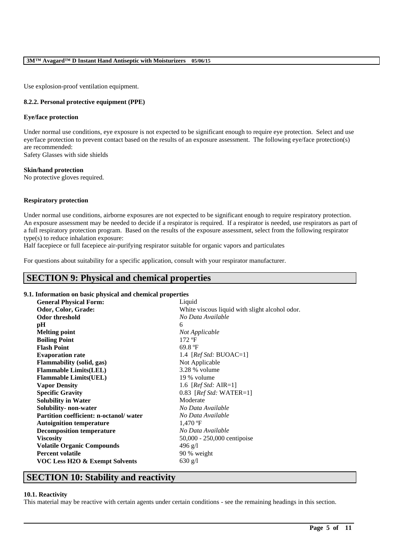Use explosion-proof ventilation equipment.

# **8.2.2. Personal protective equipment (PPE)**

### **Eye/face protection**

Under normal use conditions, eye exposure is not expected to be significant enough to require eye protection. Select and use eye/face protection to prevent contact based on the results of an exposure assessment. The following eye/face protection(s) are recommended:

Safety Glasses with side shields

### **Skin/hand protection**

No protective gloves required.

# **Respiratory protection**

Under normal use conditions, airborne exposures are not expected to be significant enough to require respiratory protection. An exposure assessment may be needed to decide if a respirator is required. If a respirator is needed, use respirators as part of a full respiratory protection program. Based on the results of the exposure assessment, select from the following respirator type(s) to reduce inhalation exposure:

Half facepiece or full facepiece air-purifying respirator suitable for organic vapors and particulates

For questions about suitability for a specific application, consult with your respirator manufacturer.

# **SECTION 9: Physical and chemical properties**

# **9.1. Information on basic physical and chemical properties**

| <b>General Physical Form:</b>          | Liquid                                         |
|----------------------------------------|------------------------------------------------|
| Odor, Color, Grade:                    | White viscous liquid with slight alcohol odor. |
| <b>Odor threshold</b>                  | No Data Available                              |
| pН                                     | 6                                              |
| <b>Melting point</b>                   | Not Applicable                                 |
| <b>Boiling Point</b>                   | $172$ °F                                       |
| <b>Flash Point</b>                     | 69.8 $\mathrm{P}$                              |
| <b>Evaporation rate</b>                | 1.4 [ $RefStd: BUOAC=1$ ]                      |
| <b>Flammability (solid, gas)</b>       | Not Applicable                                 |
| <b>Flammable Limits(LEL)</b>           | 3.28 % volume                                  |
| <b>Flammable Limits(UEL)</b>           | 19 % volume                                    |
| <b>Vapor Density</b>                   | 1.6 [ <i>Ref Std: AIR=1</i> ]                  |
| <b>Specific Gravity</b>                | 0.83 [ <i>Ref Std:</i> WATER=1]                |
| <b>Solubility in Water</b>             | Moderate                                       |
| Solubility- non-water                  | No Data Available                              |
| Partition coefficient: n-octanol/water | No Data Available                              |
| <b>Autoignition temperature</b>        | $1,470$ °F                                     |
| <b>Decomposition temperature</b>       | No Data Available                              |
| <b>Viscosity</b>                       | 50,000 - 250,000 centipoise                    |
| <b>Volatile Organic Compounds</b>      | $496$ g/l                                      |
| <b>Percent volatile</b>                | 90 % weight                                    |
| VOC Less H2O & Exempt Solvents         | 630 g/l                                        |
|                                        |                                                |

# **SECTION 10: Stability and reactivity**

#### **10.1. Reactivity**

This material may be reactive with certain agents under certain conditions - see the remaining headings in this section.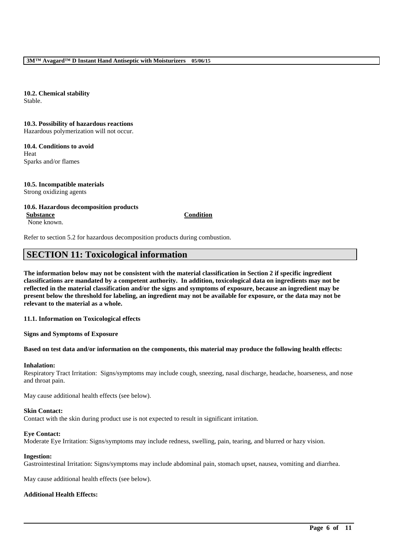**10.2. Chemical stability** Stable.

### **10.3. Possibility of hazardous reactions**

Hazardous polymerization will not occur.

**10.4. Conditions to avoid** Heat Sparks and/or flames

# **10.5. Incompatible materials**

Strong oxidizing agents

### **10.6. Hazardous decomposition products**

**Substance Condition** None known.

Refer to section 5.2 for hazardous decomposition products during combustion.

# **SECTION 11: Toxicological information**

**The information below may not be consistent with the material classification in Section 2 if specific ingredient classifications are mandated by a competent authority. In addition, toxicological data on ingredients may not be reflected in the material classification and/or the signs and symptoms of exposure, because an ingredient may be present below the threshold for labeling, an ingredient may not be available for exposure, or the data may not be relevant to the material as a whole.**

**11.1. Information on Toxicological effects**

**Signs and Symptoms of Exposure**

# **Based on test data and/or information on the components, this material may produce the following health effects:**

# **Inhalation:**

Respiratory Tract Irritation: Signs/symptoms may include cough, sneezing, nasal discharge, headache, hoarseness, and nose and throat pain.

May cause additional health effects (see below).

#### **Skin Contact:**

Contact with the skin during product use is not expected to result in significant irritation.

#### **Eye Contact:**

Moderate Eye Irritation: Signs/symptoms may include redness, swelling, pain, tearing, and blurred or hazy vision.

#### **Ingestion:**

Gastrointestinal Irritation: Signs/symptoms may include abdominal pain, stomach upset, nausea, vomiting and diarrhea.

\_\_\_\_\_\_\_\_\_\_\_\_\_\_\_\_\_\_\_\_\_\_\_\_\_\_\_\_\_\_\_\_\_\_\_\_\_\_\_\_\_\_\_\_\_\_\_\_\_\_\_\_\_\_\_\_\_\_\_\_\_\_\_\_\_\_\_\_\_\_\_\_\_\_\_\_\_\_\_\_\_\_\_\_\_\_\_\_\_\_

May cause additional health effects (see below).

# **Additional Health Effects:**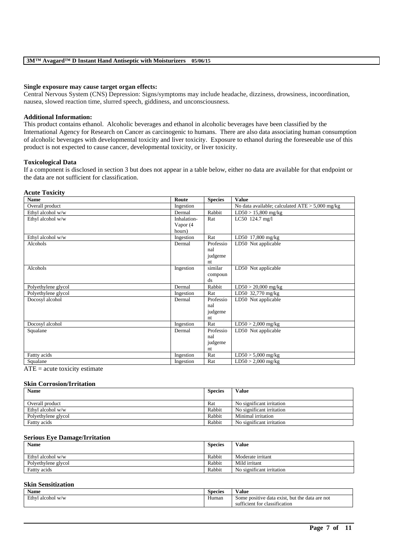#### **Single exposure may cause target organ effects:**

Central Nervous System (CNS) Depression: Signs/symptoms may include headache, dizziness, drowsiness, incoordination, nausea, slowed reaction time, slurred speech, giddiness, and unconsciousness.

#### **Additional Information:**

This product contains ethanol. Alcoholic beverages and ethanol in alcoholic beverages have been classified by the International Agency for Research on Cancer as carcinogenic to humans. There are also data associating human consumption of alcoholic beverages with developmental toxicity and liver toxicity. Exposure to ethanol during the foreseeable use of this product is not expected to cause cancer, developmental toxicity, or liver toxicity.

#### **Toxicological Data**

If a component is disclosed in section 3 but does not appear in a table below, either no data are available for that endpoint or the data are not sufficient for classification.

#### **Acute Toxicity Name Route Route Species Value** Overall product The Contract Ingestion No data available; calculated ATE > 5,000 mg/kg Ethyl alcohol w/w Dermal Rabbit LD50 > 15,800 mg/kg Ethyl alcohol w/w Inhalation-Vapor (4 hours) Rat LC50 124.7 mg/l Ethyl alcohol w/w Ingestion Rat LD50 17,800 mg/kg Alcohols **Dermal** Professio nal judgeme nt LD50 Not applicable Alcohols Ingestion similar compoun ds LD50 Not applicable Polyethylene glycol Dermal Rabbit LD50 > 20,000 mg/kg Polyethylene glycol Ingestion Rat LD50 32,770 mg/kg Docosyl alcohol Dermal Professio nal judgeme nt LD50 Not applicable Docosyl alcohol Ingestion Rat LD50 > 2,000 mg/kg Squalane **Dermal** Professio nal judgeme nt LD50 Not applicable Fatty acids Ingestion Rat LD50 > 5,000 mg/kg Squalane Ingestion Rat LD50 > 2,000 mg/kg

 $ATE = acute$  toxicity estimate

#### **Skin Corrosion/Irritation**

| <b>Name</b>         | <b>Species</b> | Value                     |
|---------------------|----------------|---------------------------|
|                     |                |                           |
| Overall product     | Rat            | No significant irritation |
| Ethyl alcohol w/w   | Rabbit         | No significant irritation |
| Polyethylene glycol | Rabbit         | Minimal irritation        |
| Fattty acids        | Rabbit         | No significant irritation |

#### **Serious Eye Damage/Irritation**

| <b>Name</b>         | <b>Species</b> | Value                     |
|---------------------|----------------|---------------------------|
|                     |                |                           |
| Ethyl alcohol w/w   | Rabbit         | Moderate irritant         |
| Polyethylene glycol | Rabbit         | Mild irritant             |
| Fattty acids        | Rabbit         | No significant irritation |

#### **Skin Sensitization**

| $\bullet$ $\bullet$<br>Name | $\sim$<br><b>Species</b> | Value                                                      |
|-----------------------------|--------------------------|------------------------------------------------------------|
| Ethy.<br>∣alcohol w/w       | --<br>Human              | Some positive data exist, but the data are not             |
|                             |                          | $\cdot$ $\sim$<br>ficient for classification<br><b>SUI</b> |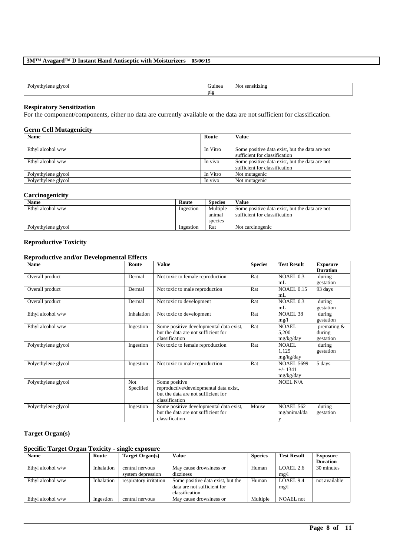| -<br>$\sim$ $\sim$<br>Ë | <b><i><u>PERSON</u></i></b><br>D12<br>- - | N |
|-------------------------|-------------------------------------------|---|

#### **Respiratory Sensitization**

For the component/components, either no data are currently available or the data are not sufficient for classification.

# **Germ Cell Mutagenicity**

| <b>Name</b>         | Route    | Value                                                                           |
|---------------------|----------|---------------------------------------------------------------------------------|
| Ethyl alcohol w/w   | In Vitro | Some positive data exist, but the data are not<br>sufficient for classification |
| Ethyl alcohol w/w   | In vivo  | Some positive data exist, but the data are not<br>sufficient for classification |
| Polyethylene glycol | In Vitro | Not mutagenic                                                                   |
| Polyethylene glycol | In vivo  | Not mutagenic                                                                   |

# **Carcinogenicity**

| <b>Name</b>         | Route     | <b>Species</b>                | <b>Value</b>                                                                    |
|---------------------|-----------|-------------------------------|---------------------------------------------------------------------------------|
| Ethyl alcohol w/w   | Ingestion | Multiple<br>animal<br>species | Some positive data exist, but the data are not<br>sufficient for classification |
| Polyethylene glycol | Ingestion | Rat                           | Not carcinogenic                                                                |

# **Reproductive Toxicity**

# **Reproductive and/or Developmental Effects**

| <b>Name</b>         | Route                   | <b>Value</b>                                                                                                     | <b>Species</b> | <b>Test Result</b>                           | <b>Exposure</b><br><b>Duration</b> |
|---------------------|-------------------------|------------------------------------------------------------------------------------------------------------------|----------------|----------------------------------------------|------------------------------------|
| Overall product     | Dermal                  | Not toxic to female reproduction                                                                                 | Rat            | NOAEL 0.3<br>mL                              | during<br>gestation                |
| Overall product     | Dermal                  | Not toxic to male reproduction                                                                                   | Rat            | <b>NOAEL 0.15</b><br>mL                      | 93 days                            |
| Overall product     | Dermal                  | Not toxic to development                                                                                         | Rat            | NOAEL 0.3<br>mL                              | during<br>gestation                |
| Ethyl alcohol w/w   | Inhalation              | Not toxic to development                                                                                         | Rat            | <b>NOAEL 38</b><br>mg/1                      | during<br>gestation                |
| Ethyl alcohol w/w   | Ingestion               | Some positive developmental data exist,<br>but the data are not sufficient for<br>classification                 | Rat            | NOAEL.<br>5,200<br>mg/kg/day                 | premating &<br>during<br>gestation |
| Polyethylene glycol | Ingestion               | Not toxic to female reproduction                                                                                 | Rat            | <b>NOAEL</b><br>1,125<br>mg/kg/day           | during<br>gestation                |
| Polyethylene glycol | Ingestion               | Not toxic to male reproduction                                                                                   | Rat            | <b>NOAEL 5699</b><br>$+/- 1341$<br>mg/kg/day | 5 days                             |
| Polyethylene glycol | <b>Not</b><br>Specified | Some positive<br>reproductive/developmental data exist,<br>but the data are not sufficient for<br>classification |                | <b>NOEL N/A</b>                              |                                    |
| Polyethylene glycol | Ingestion               | Some positive developmental data exist,<br>but the data are not sufficient for<br>classification                 | Mouse          | <b>NOAEL 562</b><br>mg/animal/da<br>V        | during<br>gestation                |

# **Target Organ(s)**

# **Specific Target Organ Toxicity - single exposure**

| <b>Name</b>       | Route      | Target Organ(s)        | <b>Value</b>                      | <b>Species</b> | <b>Test Result</b> | <b>Exposure</b> |
|-------------------|------------|------------------------|-----------------------------------|----------------|--------------------|-----------------|
|                   |            |                        |                                   |                |                    | <b>Duration</b> |
| Ethyl alcohol w/w | Inhalation | central nervous        | May cause drowsiness or           | Human          | LOAEL 2.6          | 30 minutes      |
|                   |            | system depression      | dizziness                         |                | mg/1               |                 |
| Ethyl alcohol w/w | Inhalation | respiratory irritation | Some positive data exist, but the | Human          | LOAEL9.4           | not available   |
|                   |            |                        | data are not sufficient for       |                | mg/1               |                 |
|                   |            |                        | classification                    |                |                    |                 |
| Ethyl alcohol w/w | Ingestion  | central nervous        | May cause drowsiness or           | Multiple       | NOAEL not          |                 |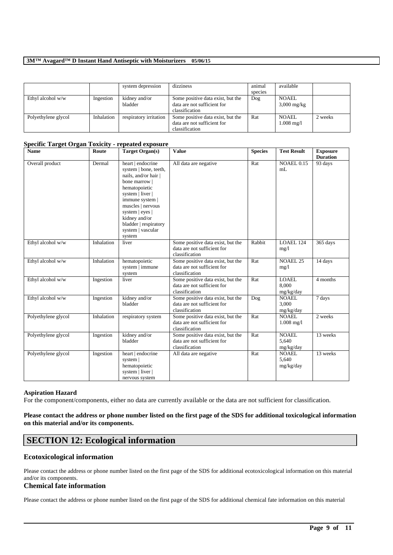|                     |            | system depression        | dizziness                                                                          | animal<br>species | available                             |         |
|---------------------|------------|--------------------------|------------------------------------------------------------------------------------|-------------------|---------------------------------------|---------|
| Ethyl alcohol w/w   | Ingestion  | kidney and/or<br>bladder | Some positive data exist, but the<br>data are not sufficient for<br>classification | Dog               | <b>NOAEL</b><br>$3,000 \text{ mg/kg}$ |         |
| Polyethylene glycol | Inhalation | respiratory irritation   | Some positive data exist, but the<br>data are not sufficient for<br>classification | Rat               | NOAEL.<br>$1.008 \text{ mg}/1$        | 2 weeks |

### **Specific Target Organ Toxicity - repeated exposure**

| <b>Name</b>         | Route      | <b>Target Organ(s)</b>                                                                                                                                                                                                                                       | <b>Value</b>                                                                       | <b>Species</b> | <b>Test Result</b>                 | <b>Exposure</b><br><b>Duration</b> |
|---------------------|------------|--------------------------------------------------------------------------------------------------------------------------------------------------------------------------------------------------------------------------------------------------------------|------------------------------------------------------------------------------------|----------------|------------------------------------|------------------------------------|
| Overall product     | Dermal     | heart   endocrine<br>system   bone, teeth,<br>nails, and/or hair  <br>bone marrow  <br>hematopoietic<br>system   liver  <br>immune system  <br>muscles   nervous<br>system   eyes  <br>kidney and/or<br>bladder   respiratory<br>system   vascular<br>system | All data are negative                                                              | Rat            | <b>NOAEL 0.15</b><br>mL            | 93 days                            |
| Ethyl alcohol w/w   | Inhalation | liver                                                                                                                                                                                                                                                        | Some positive data exist, but the<br>data are not sufficient for<br>classification | Rabbit         | LOAEL 124<br>mg/1                  | 365 days                           |
| Ethyl alcohol w/w   | Inhalation | hematopoietic<br>system   immune<br>system                                                                                                                                                                                                                   | Some positive data exist, but the<br>data are not sufficient for<br>classification | Rat            | <b>NOAEL 25</b><br>mg/1            | 14 days                            |
| Ethyl alcohol w/w   | Ingestion  | liver                                                                                                                                                                                                                                                        | Some positive data exist, but the<br>data are not sufficient for<br>classification | Rat            | <b>LOAEL</b><br>8.000<br>mg/kg/day | 4 months                           |
| Ethyl alcohol w/w   | Ingestion  | kidney and/or<br>bladder                                                                                                                                                                                                                                     | Some positive data exist, but the<br>data are not sufficient for<br>classification | Dog            | NOAEL.<br>3.000<br>mg/kg/day       | 7 days                             |
| Polyethylene glycol | Inhalation | respiratory system                                                                                                                                                                                                                                           | Some positive data exist, but the<br>data are not sufficient for<br>classification | Rat            | <b>NOAEL</b><br>$1.008$ mg/l       | 2 weeks                            |
| Polyethylene glycol | Ingestion  | kidney and/or<br>bladder                                                                                                                                                                                                                                     | Some positive data exist, but the<br>data are not sufficient for<br>classification | Rat            | <b>NOAEL</b><br>5.640<br>mg/kg/day | 13 weeks                           |
| Polyethylene glycol | Ingestion  | heart   endocrine<br>system  <br>hematopoietic<br>system   liver  <br>nervous system                                                                                                                                                                         | All data are negative                                                              | Rat            | <b>NOAEL</b><br>5.640<br>mg/kg/day | 13 weeks                           |

### **Aspiration Hazard**

For the component/components, either no data are currently available or the data are not sufficient for classification.

# **Please contact the address or phone number listed on the first page of the SDS for additional toxicological information on this material and/or its components.**

# **SECTION 12: Ecological information**

# **Ecotoxicological information**

Please contact the address or phone number listed on the first page of the SDS for additional ecotoxicological information on this material and/or its components.

# **Chemical fate information**

Please contact the address or phone number listed on the first page of the SDS for additional chemical fate information on this material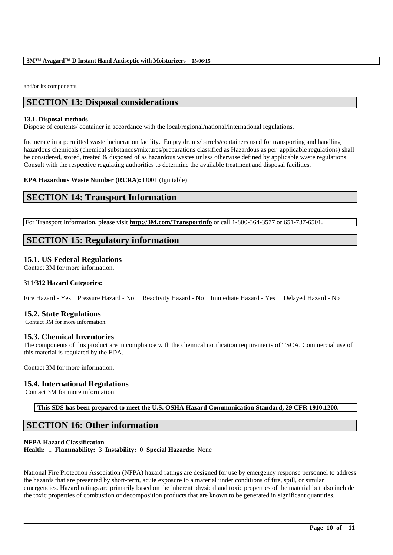and/or its components.

# **SECTION 13: Disposal considerations**

### **13.1. Disposal methods**

Dispose of contents/ container in accordance with the local/regional/national/international regulations.

Incinerate in a permitted waste incineration facility. Empty drums/barrels/containers used for transporting and handling hazardous chemicals (chemical substances/mixtures/preparations classified as Hazardous as per applicable regulations) shall be considered, stored, treated & disposed of as hazardous wastes unless otherwise defined by applicable waste regulations. Consult with the respective regulating authorities to determine the available treatment and disposal facilities.

### **EPA Hazardous Waste Number (RCRA):** D001 (Ignitable)

# **SECTION 14: Transport Information**

For Transport Information, please visit **http://3M.com/Transportinfo** or call 1-800-364-3577 or 651-737-6501.

# **SECTION 15: Regulatory information**

# **15.1. US Federal Regulations**

Contact 3M for more information.

# **311/312 Hazard Categories:**

Fire Hazard - Yes Pressure Hazard - No Reactivity Hazard - No Immediate Hazard - Yes Delayed Hazard - No

# **15.2. State Regulations**

Contact 3M for more information.

# **15.3. Chemical Inventories**

The components of this product are in compliance with the chemical notification requirements of TSCA. Commercial use of this material is regulated by the FDA.

Contact 3M for more information.

# **15.4. International Regulations**

Contact 3M for more information.

**This SDS has been prepared to meet the U.S. OSHA Hazard Communication Standard, 29 CFR 1910.1200.**

# **SECTION 16: Other information**

# **NFPA Hazard Classification**

**Health:** 1 **Flammability:** 3 **Instability:** 0 **Special Hazards:** None

National Fire Protection Association (NFPA) hazard ratings are designed for use by emergency response personnel to address the hazards that are presented by short-term, acute exposure to a material under conditions of fire, spill, or similar emergencies. Hazard ratings are primarily based on the inherent physical and toxic properties of the material but also include the toxic properties of combustion or decomposition products that are known to be generated in significant quantities.